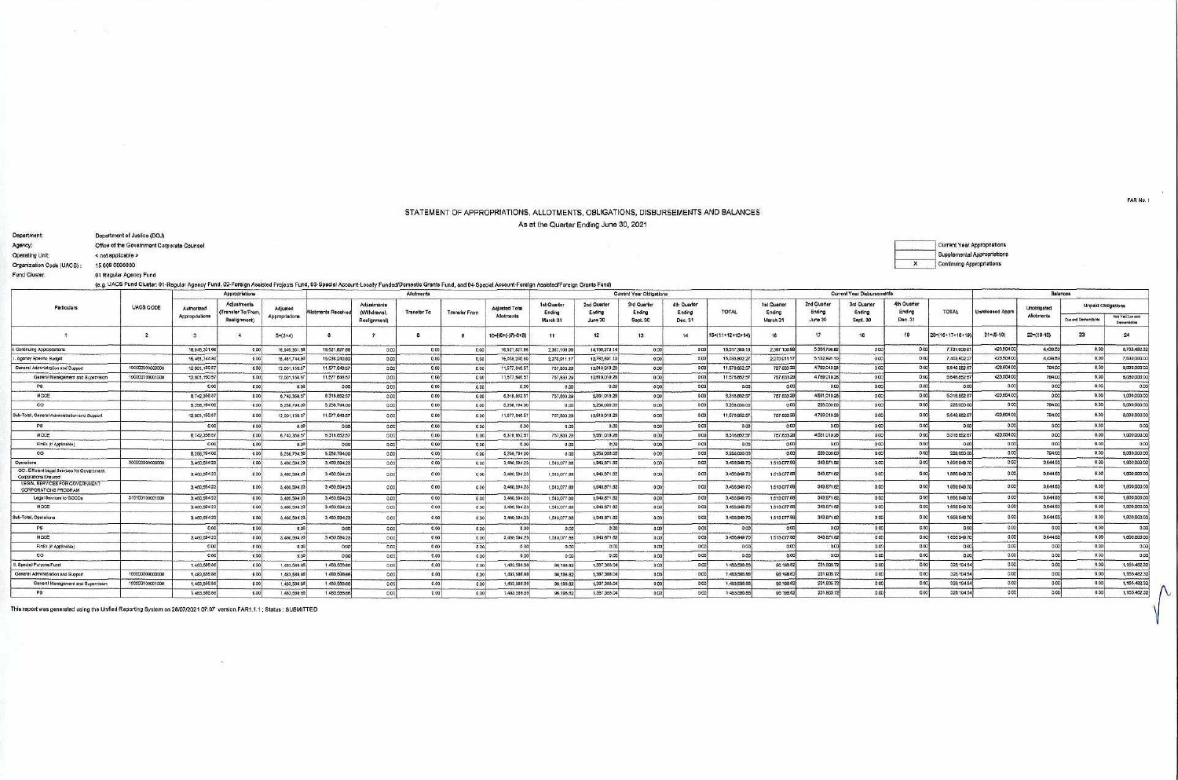## STATEMENT OF APPROPRIATIONS, ALLOTMENTS, OBLIGATIONS, DISBURSEMENTS AND BALANCES As at the Quarter Ending June 30, 2021

| Department:               | Department of Justice (DOJ)                                                                                       |
|---------------------------|-------------------------------------------------------------------------------------------------------------------|
| Agency:                   | Office of the Government Corporate Counsel                                                                        |
| Operating Unit:           | < not applicable >                                                                                                |
| Organization Code (UACS): | 15 006 0000000                                                                                                    |
| Fund Cluster:             | 01 Regular Agency Fund                                                                                            |
|                           | (e.g. UACS Fund Cluster, 01-Regular Agency Fund, 02-Foreign Assisted Projects Fund, 03-Special Account-Locally Fr |

 $\tau_{\rm T}$  . The  $\tau_{\rm A}$ 

| Current Year Appropriations |
|-----------------------------|
| Supplemental Appropriations |
| Continuing Appropriations   |

Funded/Domestic Grants Fund, and 04-Special Account-Foreign Assisted/Foreign Grants Fund)

|                                                                     |                 |                | Appropriations                   |                |                   |                             | Current Year Obligations |                      |                       |                       |                       |                       |                       | Current Year Disbursements |                       |                       | Balances              |                       |                 |                  |                                  |                           |                               |
|---------------------------------------------------------------------|-----------------|----------------|----------------------------------|----------------|-------------------|-----------------------------|--------------------------|----------------------|-----------------------|-----------------------|-----------------------|-----------------------|-----------------------|----------------------------|-----------------------|-----------------------|-----------------------|-----------------------|-----------------|------------------|----------------------------------|---------------------------|-------------------------------|
| Particulars                                                         | UACS CODE       | Authorized     | Adjustments<br>Transfer To/Frem. | Adjusted       | Iotmonts Received | Adjustments<br>(Withdrawa). | <b>Transfer To</b>       | <b>Transfer From</b> | <b>Adjusted Total</b> | 1st Quarter<br>Ending | 2nd Querter<br>Ending | 3rd Quarter<br>Ending | 4th Quarter<br>Ending | <b>TOTAL</b>               | 1st Quarter<br>Ending | 2nd Quarter<br>Ending | 3rd Quarter<br>Ending | 4th Quarter<br>Ending | TOTAL           | Unreleased Appro | <b>Unobligated</b><br>Allotments | Unpaid Obligations        |                               |
|                                                                     |                 | Appropriations | Realignment)                     | Appropriations |                   | Realignment)                |                          |                      | Allotments            | March 31              | June 30               | Sept. 30              | Dec. 31               |                            | March 31              | June 30               | Sept. 30              | Dec. 31               |                 |                  |                                  | <b>Due and Demandates</b> | Not Yet Due and<br>Demandable |
|                                                                     |                 |                |                                  | $59(3+4)$      |                   |                             |                          |                      | 10=((6+(-)7)-8+9      | 11                    | 12                    | 13 <sup>13</sup>      | 14                    | 15*(11+12+13+14            | 16                    | 17.                   | 18                    |                       | 20=(16+17+18+19 | $21 = (5-10)$    | $22=(10-15)$                     | 23                        | 24                            |
| Contruing Appropriations                                            |                 | 18,945,331.66  | 000                              | 16,945,331.6   | 15,621,827.66     | 0.00                        | 0.00                     |                      | 16,521,827.6          | 2.367.109.99          | 14150,279.14          | 0.00                  | 0.001                 | 16,517,389.                | 2 367 100.9           | 5.364.796.80          | 000                   |                       | 7,731,908       | 423,504.00       | 4,438.53                         | 0.00                      | 8,785,492.32                  |
| Agency Specific Budget                                              |                 | 15.461,744.80  | 000                              | 18.481.744.8   | 15.036.240.00     | 0.00                        | 0.00                     |                      | 15,038,240.8          | 2,270,911.17          | 12,782,891.1          | 0.00                  | 0.00                  | 15,033,802.2               | 2 270 911.17          | 5.132.891.10          | 0.00                  | 0.00                  | 7,403,902.2     | 423,504.00       | 4438.53                          | 0.00                      | 7,630,000.00                  |
| General Administration and Support                                  | 10000000000000  | 12,001,150.57  | 0.00                             | 12.001.150.6   | 11.677,648.57     | 0.00                        | 0.001                    | 0.00                 | 11,577,646.61         | 767,833.22            | 10,819,019.28         | 0.00                  | 0.00                  | 11,676,662.57              | 757 833 29            | 4789,019.28           | 000                   |                       | 5,646,852.9     | 423,504.00       | 794.00                           | 0.00                      | 6,030,000 00                  |
| General Menegement and Supervision                                  | 100000100001000 | 12,001,150 57  | 0.001                            | 12,001,150.5   | 11.677.646.57     | 0.00                        | 0001                     |                      | 11,577,648.67         | 787,833.29            | 10,819,019.28         | 000                   | 0,00                  | 11.676, 852.57             | 757 833.29            | 4,789,019.28          | 000                   |                       | 5,546,852.6     | 423,504.00       | 794.00                           | 0.00                      | 6,030,000.00                  |
| PS.                                                                 |                 | 000            | 0001                             |                | 0.00              | 0.00                        | 000                      |                      | 0.00                  | 0.00                  | 0.00                  | 000                   | 0.00                  | 0.00                       | 0.00                  | 0.00                  | 0.00                  | 000                   | 000             | 0.001            | 0.00                             | 0.00                      | 0.00                          |
| MODE<br>and also like                                               |                 | 8,742,358.57   | 100 <sub>1</sub>                 | 6.742.356.5    | 6318.852.57       | 0.00                        | 0.00                     |                      | 6,318,852.51          | 757, 833, 29          | 5,561,019.28          | 0.00                  | 0.00                  | 6,318,852.57               | 767, 833, 29          | 4.661.019.26          | 000                   |                       | 5.318.852       | 423,504.00       | 0.00                             | 0.00                      | 1,000,000.00                  |
| $\infty$                                                            |                 | 5,258,794.00   | 0.00                             | 5,258,794.0    | 5.258.794.00      | 0.00                        | 0.06                     |                      | 5,258,794.00          | 0.00                  | 5,258,000.00          | 000                   | 0.00                  | 5.258.000.00               | 0.00                  | 228,000.00            | 0.00                  | 00                    | 226,000.0       | 0.001            | 794.00                           | 0.00                      | 5,030,000.00                  |
| Sub-Total, Ganeral Administration and Buccor                        |                 | 12.001,150.57  |                                  | 12,001,150.5   | 11,577,648.57     |                             | one                      |                      | 11.677.648.5          | 757,833.29            | 10.819.019.25         | 000                   | 6.00                  | 11.576.852.57              | 757 833 29            | 4,789,019.26          |                       |                       | 5.548.8526      | 423,004.00       | 794.00                           | 0.00                      | 6,030,000.00                  |
| PS.                                                                 |                 | 0 <sup>0</sup> | 000                              | 0 <sup>0</sup> | 0.00              | 0.001                       | 000                      | 0.00                 | 0.00                  | 0.00                  | 0.00                  | 0.001                 | 0.00                  | 0.00                       | 0.00                  | 0.00                  | 0.00                  | 0.00                  | 0 <sup>o</sup>  | 0.00             | 0.00                             | 0.00                      | 0.00                          |
| MODE                                                                |                 | 6.742.356.57   | 000                              | 6.742.355.5    | 6.316.682.57      | 0.00                        | 0001                     | 0.00                 | 6.318.652.67          | 757,833.29            | 5,581,019.28          | 0.00                  | 0.00                  | 6,318,852.57               | 757 833 29            | 4 581 019.28          | 000                   |                       | 0.316.6526      | 423,604.00       | 0.00                             | 0.00                      | 1,000,000.00                  |
| FinEx (if Applicable                                                |                 | 0.00           | 0.001                            | 0.00           | 0.00              | 0.00                        | 000                      | 000                  | 0.00                  | 0.00                  | 0.00                  | 0.00                  | 0.00                  | 000                        | 0.001                 | 0.00                  | 0.00                  | 0.001                 | 000             | 0.001            | 0.00                             | 0.001                     | 0.00                          |
| $\infty$                                                            |                 | 5.258,79400    |                                  | 6,258,794.00   | 5.258.794.00      | 0.00                        | 000                      |                      | 5,258,794.00          | 0.00                  | 5,258,000.00          | 000                   | 0.00                  | 5,258,000.00               | 0.00                  | 228,000.00            | 0.00                  | 0.001                 | 226,000.0       | 0.001            | 794.00                           | 0.001                     | 5,030,000.00                  |
| Operational                                                         | 300000000000000 | 3,460,594.23   | 0.001                            | 3,460,594.2    | 3.450.604.23      | 0.00                        | 000                      |                      | <br>3,460,504.23      | 1,513,077.8           | 1,943,871.82          | 0.001                 | 0.00                  | 3,456,949.7                | 1 513 077.88          | 343, 571.82           | $-0.00$               | 0.00                  | 1,666,949.7     | 0.001            | 3.844.53                         | 000                       | 1,600,000.00                  |
| OO: Efficient Legal Services for Government<br>Corporations Engured |                 | 3,460,5942     |                                  | 3,460,584.2    | 3.450.694.23      |                             | 000                      |                      | 3.460,594.23          | 1,513,077.89          | 1,943,871.62          | 0.001                 | 0.00                  | 3.456,949.7                | 1.513 077.88          | 343.871.82            |                       |                       | 1,856,949.7     | 0.00             | 3,544.63                         | 0.00                      | 1,600,000.00                  |
| LEGAL SERVICES FOR GOVERNMENT<br><b>CORPORATIONS PROGRAM</b>        |                 | 3.460,5942     |                                  | 3,460,5942     | 3.450.564.23      |                             | nm                       |                      | 3,460,594.2           | 1,513,077.88          | 1,943,871.62          | $-0.001$              | 00                    | 3,456,949.7                | 1,613,077.8           | 343,871.82            |                       |                       | 1,856,949.7     | 0.07             | 3,644.53                         | 0.00                      | 1,600,000.00                  |
| Legal Services to GOOCs                                             | 310100100001000 | 3,450,58423    | 000                              | 3.460,5947     | 3.450.694.23      | 0.00                        | 000                      |                      | 3,460,594.23          | 1,513,077.88          | 1,943, 571.82         | 0.00                  | 0.00                  | 3,456,949.7                | 1.513 077.88          | 343.671.62            | 0.00                  | 0.00                  | 1.656, 849.7    | 0.00             | 3,844 53                         | 0.00                      | 1,600,000,00                  |
| MODE                                                                |                 | 3,460,584.23   | 000                              | 3.460.5942     | 3.450,694.23      | 0.00                        | 000                      | 0.00                 | 3,460,594.23          | 1.013.077.86          | 1,943,671.82          | 0.00                  | 0.00                  | 3.456,949.7                | 1,613,077.68          | 343, B71.82           | 000                   | 0.001                 | 1,856,949.7     | 0.001            | 3,044.53                         | 000                       | 1,600,000.00                  |
| Sub-Total, Operatons                                                |                 | 3,460,59423    | 0 <sup>o</sup>                   | 3,460,5942     | 3 460 594 23      |                             | 0.00                     |                      | 3.460.594.23          | 1,513,077.88          | 1,843,871.82          | 0.001                 | 0.00                  | 3,455,949.7                | 1,513.077.88          | 343.871.82            | 0.00                  |                       | 1.856.949.      | 0.00             | 3,644.53                         | 000                       | 1,600,000.00                  |
| <b>PS</b>                                                           |                 |                | 100                              |                | 000               | 0.00                        | 0.001                    | 000                  | 0.00                  | 0.00                  | 0 <sup>o</sup>        | 0.001                 | 000                   | 000                        | 0.00                  | 0.00                  | 0.00                  | 0.001                 | 0.00            | 0.00             | 0.00                             | 000                       | 0.00                          |
| MODE                                                                |                 | 3,460,594.23   | 0.00                             | 3.460,594.2    | 3.450.604.23      | 0.00                        | 000                      | 000                  | 3.460.594.23          | 1,513,077.88          | 1,943,871.82          | 0.001                 | 0.00                  | 3,456,949.70               | 1,513,077.88          | 343,871.82            | 0.00                  | 0.001                 | 1,855,949.70    | 0.00             | 3.644.53                         | 0.00                      | 1,600,000.00                  |
| FinEx (if Applicable)                                               |                 | 0.00           | 0001                             |                | 0.00              | 0.001                       | 000                      | 000                  | 0.00                  | 0.00                  | 0.00                  | 0.001                 | 0.00                  | 000                        | 0001                  | 0.00                  | 0.00                  | 0.001                 | 0.00            | 0.00             | 0.00                             | 0.00                      | 0.00                          |
| CO.                                                                 |                 | 000            | 0.001                            | 000            | 0.001             | 000                         | 0.00                     | 000                  | 0.001                 | 0.00                  | D <sub>O</sub>        | 0.00                  | 0.00                  | 000                        | 0.00                  | $\alpha$              | 0.00                  | 0.001                 | 0.50            | 0.00             | 0.00<br>---                      | 0.00                      | 0.05                          |
| Special Purpose Fund                                                |                 | 1.483,586.86   | 0.00                             | 1,483,688.8    | 1,483,586.86      | 0.00                        | 0.00                     | 0.00                 | 1.483.588.88          | 95.198.92             | 1,387,368.04          | 0.00                  | 000                   | 1.453,588.8                | 96.198.52             | 231,905.72            | 0.00                  | 0.001                 | 328,104.54      | 0,00             | 0.00                             | 0.00                      | 1,155,482.32                  |
| General Administration and Support                                  | 100000000000000 | 1,483,586.8    | 000                              | 1,483,588.8    | 1.453.566.66      | 0.00                        | 0.00                     | 000                  | 1,483,586.86          | 06,106.62             | 1,387,388.04          | 0.001                 | 0.00                  | 1.453,586.8                | 96,168.62             | 201,905.72            |                       | 0.001                 | 328, 104.54     | 0.00             | 0.00                             | 0.00                      | 1,155,482.32                  |
| General Management and Supervision                                  | 100000100001000 | 1,483,586.86   | 0.00                             | 1.483,598.8    | 1.453.586.88      | 0D                          | 0.00                     | 0.00                 | 1,453,666.86          | 98.198.82             | 1,387,388.04          | 0.00                  | 0.00                  | 1,483,586.8                | 96.198.82             | 231,905.72            | 0.00                  | 0.00                  | 328,104.54      | 0.00             | 0.00                             | 000                       | 1,155,482.32                  |
| PS.                                                                 |                 | 1.483.586.8    | 0.001                            | 1.483,588.8    | 1.483 586 88      | 005                         | 0.001                    | 0.001                | 1,483,586.88          | 96.198.82             | 1.387.388.04          | 0.00                  | 0.00                  | 1.483 586.8                | 98.198.82             | 231, 905.72           | 0.00                  | n m                   | 328 104 54      | 0.00             | 0.00                             | 000                       | 1, 155, 482 32                |

This report was generated using the Unified Reporting System on 28/07/2021 07:07 version FAR1.1.1 ; Status : SUBMITTED

 $\sigma_{\rm c}$ 

FAR No. 1

 $\Lambda$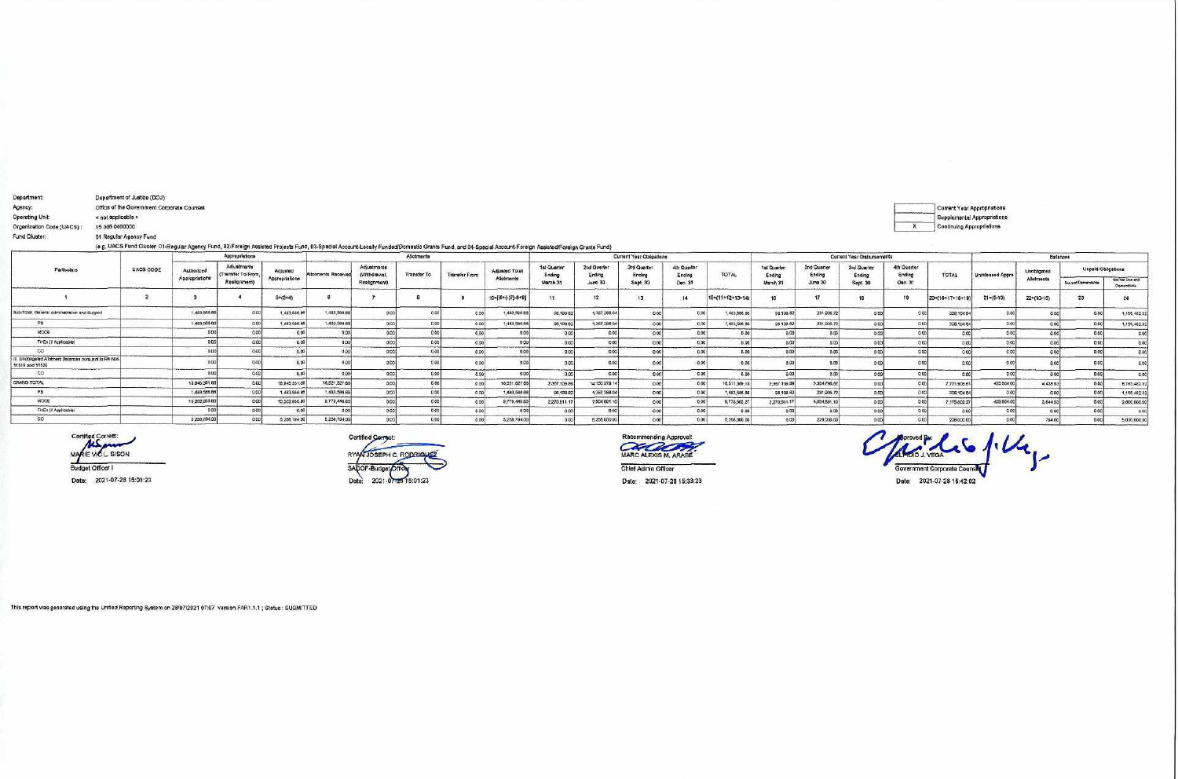| <b>Department:</b>                                                        | Department of Justice (DOJ)                                                                                                                                                                                               |                |                                   |                |                     |                             |                    |               |                       |                       |                       |                          |                       |                  |                       |                       |                            |                       |                                                          |                             |             |                    |                               |
|---------------------------------------------------------------------------|---------------------------------------------------------------------------------------------------------------------------------------------------------------------------------------------------------------------------|----------------|-----------------------------------|----------------|---------------------|-----------------------------|--------------------|---------------|-----------------------|-----------------------|-----------------------|--------------------------|-----------------------|------------------|-----------------------|-----------------------|----------------------------|-----------------------|----------------------------------------------------------|-----------------------------|-------------|--------------------|-------------------------------|
| Agency:<br>Operating Unit<br>Organization Code (UACS)<br>Fund Cluster:    | Office of the Government Corporate Counsel<br>< not applicable ><br>15 006 0000000<br>01 Regular Agency Fund                                                                                                              |                |                                   |                |                     |                             |                    |               |                       |                       |                       |                          |                       |                  |                       |                       |                            | $\boldsymbol{x}$      | Current Year Appropriations<br>Continuing Appropriations | Supplemental Appropriations |             |                    |                               |
|                                                                           | (e.g. UACS Fund Cluster: 01-Regular Agency Fund, 02-Foreign Assisted Projects Fund, 03-Special Account-Locally Funded/Domestic Grants Fund, and 04-Special Account-Foreign Assisted/Foreign Assisted/Foreign Grants Fund) |                | Appropriations                    |                |                     |                             | Allotmanta         |               |                       |                       |                       | Current Year Obligations |                       |                  |                       |                       | Current Year Cisbursements |                       |                                                          |                             |             | Balances           |                               |
| Particulars                                                               | UACS CODE                                                                                                                                                                                                                 | Authorized     | Adjustments<br>(Transfer To/From. | Adjusted       | Allotments Received | Adjustments<br>(Withdrawa). | <b>Transfer To</b> | Transfer From | <b>Adjusted Total</b> | 1st Quarter<br>Ending | 2nd Quarter<br>Ending | 3rd Quarter<br>Ending    | 4th Quarter<br>Ending | TOTAL            | 1st Quarter<br>Ending | 2nd Quarter<br>Ending | 3rd Quarter<br>Ending      | 4th Quarter<br>Ending | TOTAL                                                    | Unreleased Appro            | Unobligated |                    | Unpaid Obligations            |
|                                                                           |                                                                                                                                                                                                                           | Appropriations | Realignment)                      | Appropriations |                     | Realignment)                |                    |               | Allotments            | March 31              | June 30               | Sept. 30                 | Dec. 31               |                  | March 31              | June 30               | Sept. 30                   | Dec. 31               |                                                          |                             | Allotment   | Due and Demandates | Not Yet Due and<br>Demandside |
|                                                                           |                                                                                                                                                                                                                           |                |                                   | $5m(3+4)$      |                     |                             |                    |               | 10=((6+(-)7)-8+9)     |                       | 12                    |                          | 14                    | 15=(11+12+13+14) |                       |                       | 16                         |                       | 20=(16+17+18+19)                                         | $21 = (5 - 10)$             | 22=(10-15)  | -23                | 24                            |
| Sub-Total, Ganeral Administration and Support                             |                                                                                                                                                                                                                           | 1,493,566.66   | 0.00                              | 1.483,586      | 1,483,586.86        |                             |                    |               | 1,483,566.86          | 96,198.82             | 1,387,388.04          | 0.00                     | 0.00                  | 1.483.566.86     | 96.198.82             | 231,906.7             | 0.00                       |                       | 328,104.54                                               | 0.00                        |             | 0.00               | 1,155,482.3                   |
|                                                                           |                                                                                                                                                                                                                           | 1,493,506.00   | 0.001                             | 1.483,586.6    | 1,483.566.66        |                             | 0.05               |               | 1,483,585.86          | 96,198.82             | 1,387,388.04          | 0.00                     | 0.00                  | 1,483,566.66     | 96 198.82             | 231,905.72            | 0.00                       |                       | 328,104.54                                               | 0.001                       |             |                    | 1,155,482.3                   |
| MODE                                                                      |                                                                                                                                                                                                                           | D <sub>D</sub> | 0.001                             |                | 0.00                |                             | 0.001              |               | 0.001                 |                       |                       |                          | 0.00                  | 0.00             |                       | <b>B-DO</b>           |                            |                       |                                                          | 0.001                       | a onli      |                    | 0.0                           |
| FinEx (if Applicable)                                                     |                                                                                                                                                                                                                           |                | 0.00                              |                | 0.00                |                             | 0.00               |               | 0.00                  |                       | n o                   | $n\infty$                | 0.00                  | D.00             |                       | 0.00                  | 0 <sup>1</sup>             | 0.00                  |                                                          | 0.001                       |             |                    | 0 <sup>o</sup>                |
|                                                                           |                                                                                                                                                                                                                           |                | 0.00                              |                | 0.00                |                             | 0.00               |               | 0.00                  | 0.00                  |                       | 0 <sup>0</sup>           | 0.00                  | 0.00             |                       | p.co                  | 0.00                       | 0.00                  |                                                          |                             |             |                    | 0.0                           |
| III. Unobligated Allotment Balances oursuant to RA Nos<br>11519 and 11520 |                                                                                                                                                                                                                           |                | 0.00                              |                | 0.00                |                             |                    |               | 0.001                 | 0.0                   |                       | 0.00                     | 0.00                  | 0.00             |                       |                       |                            | <b>DO</b>             |                                                          |                             |             |                    |                               |
| CO                                                                        |                                                                                                                                                                                                                           | n or           | 0.001                             |                | 0.001               |                             | 0.00               |               | 0.00                  | $a\alpha$             | 0.00                  | 0.001                    | 0.00                  | 0.00             | 0.00                  |                       | 0001                       | 0.00                  |                                                          | 0001                        | acol        | 0.001              | 00                            |
| GRAND TOTAL                                                               |                                                                                                                                                                                                                           | 18,845,331.66  | 0.00                              | 18,945,331.8   | 16.521.827.65       |                             | 0.00               |               | 16,521,827.68         | 2,367,109.99          | 14150.279.14          | 000                      | 0.00                  | 16,617,369.13    | 2.367.109.99          | 5.364.796.8           | 0.00                       | 0.00                  | 7,731,906.8                                              | 423,504.00                  | 4,438.63    | 0.00               | 8,785,482.3                   |
|                                                                           |                                                                                                                                                                                                                           | 1,433,586.86   | 0.00                              | 1,483,586.8    | 1.483.586.85        |                             |                    |               | 1,483,588.88          | 86,198.82             | 1,387,388.04          | 0.00                     | 0.00                  | 1.483,586.86     | 95 198.82             | 231,906.72            | 0.00                       |                       | 328,104.5                                                | 0.00                        |             | 0.00               | 1,155,482.3                   |
| MOOE                                                                      |                                                                                                                                                                                                                           | 10,202,950.80  | 0.001                             | 10,202,950.8   | <b>9.779,446.60</b> |                             |                    |               | 9,779,445.80          | 2,270.911.17          | 7,504.891.1           |                          | 0.00                  | 9,775,602.27     | 2,270,911.17          | 4,904,891.1           | 0.00                       |                       | 7,175,802.2                                              | 423,504.00                  | 3.64453     | 0.00               | 2,600,000.0                   |
| FinEx (# Applicable)                                                      |                                                                                                                                                                                                                           | 0.01           | 0.00                              |                | 0.00                |                             |                    |               |                       | 0.00                  |                       | 0.00                     | 0.00                  | 0.00             |                       | 0.00                  | 0.00                       | 0.00                  |                                                          | 0.001                       |             | 0.00               | 0 <sup>o</sup>                |
| co                                                                        |                                                                                                                                                                                                                           | 5,258,794.00   | 0.001                             | 5,256,794.0    | 5,258,794,007       |                             | 0.00               |               | 5,258,794.00          | 0.001                 | 5,256,000.00          |                          | 0.00                  | 5,258,000.00     | 0.00                  | 228,000.00            | 0.001                      |                       | 228,000.00                                               |                             | 794.00      |                    | 5,030,000.0                   |

Certified Correct:<br>MARIE VIC L. SISON<br>Budget Officer I

Date: 2021-07-28 15:01:23



Recommending Approval:<br>MARC ALEXIS M. ARABE

Chief Admin Officer

 $\curvearrowright$ Arcives & Co  $\overline{\mathcal{U}}$ Government Corporate Counse Date: 2021-07-28 15:42:02

Date: 2021-07-28 15:33:23

This report was generated using the Unified Reporting System on 28/07/2021 07:07 version.FAR1.1.1 ; Status : SUBMITTED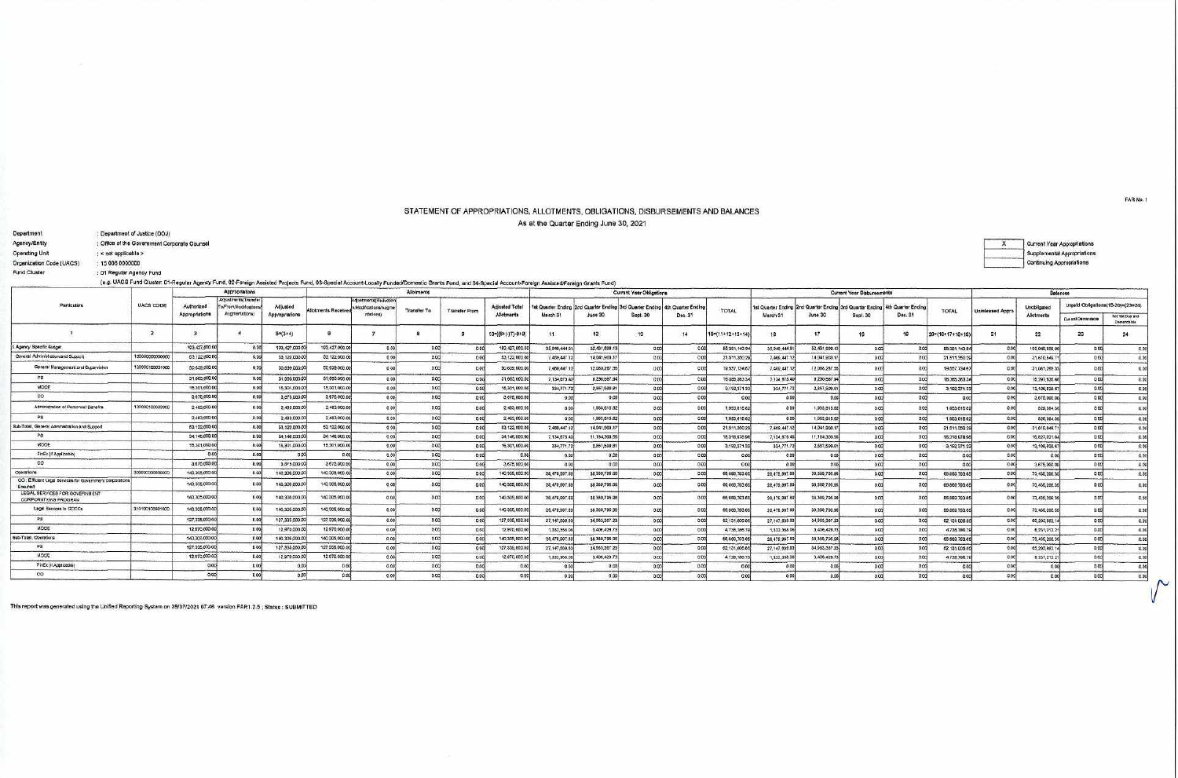## STATEMENT OF APPROPRIATIONS, ALLOTMENTS, OBLIGATIONS, DISBURSEMENTS AND BALANCES As at the Quarter Ending June 30, 2021

| <b>Department</b>                  |                      | Debartment of Analoge (DOD)                  |                              |                                                                  |                            |                                                                                                                                                                                                          |                                                             |                    |                      |                                    |                 |               |                                                                                         |         |                  |               |               |                                                                                         |         |                  |                  |  |
|------------------------------------|----------------------|----------------------------------------------|------------------------------|------------------------------------------------------------------|----------------------------|----------------------------------------------------------------------------------------------------------------------------------------------------------------------------------------------------------|-------------------------------------------------------------|--------------------|----------------------|------------------------------------|-----------------|---------------|-----------------------------------------------------------------------------------------|---------|------------------|---------------|---------------|-----------------------------------------------------------------------------------------|---------|------------------|------------------|--|
| Agency/Entity                      |                      | : Office of the Government Corporate Counsel |                              |                                                                  |                            |                                                                                                                                                                                                          |                                                             |                    |                      |                                    |                 |               |                                                                                         |         |                  |               |               |                                                                                         |         |                  |                  |  |
| Operating Unit                     | : < not applicable > |                                              |                              |                                                                  |                            |                                                                                                                                                                                                          |                                                             |                    |                      |                                    |                 |               |                                                                                         |         |                  |               |               |                                                                                         |         |                  |                  |  |
| Organization Code (UACS)           | 15 006 0000000       |                                              |                              |                                                                  |                            |                                                                                                                                                                                                          |                                                             |                    |                      |                                    |                 |               |                                                                                         |         |                  |               |               |                                                                                         |         |                  |                  |  |
| Fund Cluster                       |                      | : 01 Regular Agency Fund                     |                              |                                                                  |                            |                                                                                                                                                                                                          |                                                             |                    |                      |                                    |                 |               |                                                                                         |         |                  |               |               |                                                                                         |         |                  |                  |  |
|                                    |                      |                                              |                              |                                                                  |                            | (e.g. UACS Fund Cluster: D1-Regular Agency Fund, 02-Foreign Assisted Projects Fund, 03-Special Account-Locally Funded/Domestic Grants Fund, and 04-Special Account-Foreign Assisted/Foreign Crants Fund) |                                                             |                    |                      |                                    |                 |               |                                                                                         |         |                  |               |               |                                                                                         |         |                  |                  |  |
|                                    |                      |                                              |                              | Appropriations                                                   |                            |                                                                                                                                                                                                          |                                                             | Alloiments         |                      |                                    |                 |               | Current Year Obligations                                                                |         |                  |               |               | <b>Current Year Disbursements</b>                                                       |         |                  |                  |  |
| Particulars                        |                      | <b>UACS CODE</b>                             | Authorized<br>Appropriations | Adjustments(Transfer<br>To/From Modifications/<br>Augmentations! | Adjusted<br>Appropriations | Allotments Received                                                                                                                                                                                      | Adustments/Reduction<br>s Modifications/Augme<br>ritations) | <b>Transfer To</b> | <b>Transfer From</b> | <b>Adjusted Tots</b><br>Allotments | March 31        | June 30       | 1st Quarter Ending 2nd Quarter Ending 3rd Quarter Ending 4th Quarter Ending<br>Sept. 30 | Dec. 31 | TOTAL            | March 31      | June 30       | 1st Quarter Ending 2nd Quarter Ending 3rd Quarter Ending 4th Quarter Ending<br>Sept. 30 | Dec. 31 | TOTAL            | Unreleased Appro |  |
|                                    |                      |                                              |                              |                                                                  | $5*(3+4)$                  |                                                                                                                                                                                                          |                                                             |                    |                      | $10 = [(6 + (-)7) - 8 + 9]$        |                 |               | 13                                                                                      | -14     | 15=(11+12+13+14) |               |               |                                                                                         |         | 20*(16*17+18+19) | 21               |  |
| Agency Speafic Budget              |                      |                                              | 193.427,000.00               |                                                                  | 193, 427, 000.00           | 193.427.000.00                                                                                                                                                                                           |                                                             |                    |                      | 193.427,000.00                     | 35, 849, 444 81 | 02.431,699.13 |                                                                                         |         | 85.351,143.94    | 35,946,444.81 | 52.431,699.13 |                                                                                         |         | 88 381, 143 94   | 0.00             |  |
| General Administration and Support |                      | 100000000000000                              | 63.122,000.00                |                                                                  | 53,122,000.00              | <b>\$3,122,000.00</b>                                                                                                                                                                                    |                                                             |                    |                      | 53,122,000.00                      | 7,409,447.12    | 14,041,903.13 |                                                                                         |         | 21.511,350.29    | 7.460,447.1   | 14.041,903.1  |                                                                                         |         | 21.511,350.29    | 000              |  |
|                                    |                      |                                              |                              |                                                                  |                            |                                                                                                                                                                                                          |                                                             |                    |                      |                                    |                 |               |                                                                                         |         |                  |               |               |                                                                                         |         |                  |                  |  |

| I. Agency Speafic Budget                                            |                 | 193.427,000.00 |       | 193,427,000.00 | 193 427,000.0 |       | 193.427,000.0  | 35 849.444 81 | 02.431.699.1  |      | 0.00  | 85.351,143.9   | 35 946 444 8  | 52.431.699     |        | 88 381, 143 94 |       | 105,045,856.06 | p.ng | 0.00  |
|---------------------------------------------------------------------|-----------------|----------------|-------|----------------|---------------|-------|----------------|---------------|---------------|------|-------|----------------|---------------|----------------|--------|----------------|-------|----------------|------|-------|
| General Administration and Support                                  | 1000000000000   | 63.122,000.00  |       | 03.122.000.0   | \$3,122,000.0 |       | 53,122,000.0   | 7.469.447.1   | 14.041.903.1  |      | n oo  | 21.511.350.2   | 7,460,447     | 14 041,903     |        | 21.511.350.2   |       | 31,610,549.7   |      | 0.00  |
| General Management and Supervision                                  | 100000100001000 | 50.639,000.00  |       | 50,639,000.00  | 50,639,000.0  |       | 50,639,000.0   | 7.469.447     | 12088.287.5   |      |       | 19,557,734     | 7.489.447     | 12.086.287.    |        | 19.557.734.5   |       | 31.081.285.3   |      | 0.00  |
|                                                                     |                 | 31,663,000.00  | 0.00  | 31,663,000.0   | 31,663,000.00 | 0.00  | 31,663,000.0   | 7,134,675.40  | 9.230.687.94  |      | 0.00  | 16 365 363 3   | 7.134.675.40  | B.230,687.9    |        | 16.365.363.34  | 000   | 15,297,636.6   |      | 0.00  |
| MODE                                                                |                 | 15.301,000.00  |       | 15.301.000.00  | 15,301,000.00 |       | 15.301.000.0   | 334,771.72    | 2,857.500.6   | 0.00 | 0.00  | 0.192,371.3    | 334,771.7     | 2,857,599.6    |        | 3,192,371.3    | 0.00  | 12,108,628.6   |      | 0.00  |
| co                                                                  |                 | 3.675,000.00   |       | 3,875,000.00   | 3,675,000.0   |       | 3,675,000.0    | 000           | 0.0           | 0.00 | 0.00  | 0 <sub>0</sub> |               |                |        |                | 000   | 3,676,000.00   |      | 0.00  |
| Administration of Personnel Banefits                                | 10000010000200  | 2.483,000.00   |       | 2.483,000.0    | 2,483,000.00  |       | 2.483.000      | 000           | 1,953,615.62  |      |       | 1,953,615.6    |               | 1.953.615.62   |        | 1,953,615.8    | 000   | 629,384.3      |      | 0.00  |
|                                                                     |                 | 2,483,000.0    |       | 2,483,000.0    | 2,453,000.00  |       | 2,463,000.0    | 000           | 1,953,615.62  |      | 0.00  | 1,953,615.6    | 0.00          | 1.953.615.62   |        | 1.963,615.62   | 0.00  | 529, 384.36    |      | 0.00  |
| Sub-Total, General Administration and Support                       |                 | 53,122,000.0   |       | 63,122,000.0   | 53,122,000.0  |       | 53, 122, 000 0 | 7,469,447.1   | 14,041,903.1  |      |       | 21,511,350.2   | 7,469,447.12  | 14:041.903     |        | 21.611.350.2   | 000   | 31,610,849.7   |      | 0.00  |
|                                                                     |                 | 34,145,000.0   |       | 34,148,000.0   | 34,146,006.0  |       | 34, 146, 000.0 | 7,134,675     | 11.184,303.5  |      |       | 18,318,978.9   | 7,134,675.4   | 11.184,303.5   |        | 18,318,078.9   | 0.00  | 15,827,021.0   |      | 0.00  |
| MODE                                                                |                 | 15.301.000.00  |       | 15,301,000.0   | 15.301.000.0  |       | 15,301,000.0   | 334,771.7     | 2857,599.6    |      | 0.00  | 3.192,371.     | 334,771.7     | 2.657,599.6    |        | 3.192.371.3    |       | 12,108,628.6   |      | 0.00  |
| FiriEx (if Applicable)                                              |                 |                | 0.00  |                |               |       |                | 0.00          | 0.0           | a an |       |                |               |                |        |                | 0.00  |                |      | 0.00  |
| co                                                                  |                 | 3.675,000.00   |       | 3.675,000.0    | 3,675,000.0   |       | 3,675,000.0    |               |               |      | nool  |                |               |                |        |                | 0.006 | 3,675,000.00   |      | 0.001 |
| Operations                                                          | 0000000000000   | 140.305,000.00 | 0.00  | 140.305.000.0  | 140,308,000.0 |       | 140.305.000.0  | 28,479,997.6  | 38 389 785 9  |      | 0.001 | 08,889,703     | 28,479,997    | 39.389,705.9   |        | 66,669,793.65  |       | 73,435,206.36  |      | 0.00  |
| CO: Efficient Legal Services for Government Corporations<br>Ensured |                 | 140,305,000.00 |       | 140,306,000.0  | 140,305,000.0 |       | 140,305,000.0  | 28,479,997    | 38 389,795.9  |      |       | 06.869,793.    | 28,479,997    | 38.389.795.96  |        | 08/009/793-0   |       | 73,436,208.36  |      | 0.00  |
| LEGAL SERVICES FOR GOVERNMENT<br>CORPORATIONS PROGRAM               |                 | 140,305,000.00 |       | 140,305,000    | 140,305,000.0 |       | 140,305,000.0  | 28,479,997.6  | 38,389,795.9  |      |       | 06,869,793.    | 28,479,997.   | 38,389,795.9   |        | 66,669,793.65  |       | 73,436,206.3   |      |       |
| Legal Services to GOCCs                                             | 31010010000100  | 140,305,000.00 |       | 140,305,000.0  | 140.305.000.0 |       | 140.305,000.0  | 28,479,997.6  | 38.389.795.96 |      |       | 66,669,793     | 28,479,997    | 38,369,795.96  |        | 06.669.793.5   | 0.00  | 73,435,205.3   |      | 0.00  |
|                                                                     |                 | 127,335,000.00 | 0.001 | 127,335,000.0  | 127,335,000.0 | D.CO. | 127,335,000.0  | 27,147,839.83 | 34963,367.2   | 0.00 | 0.00  | 62,131,006.6   | 27.147.839.63 | 34 983, 387.22 |        | 82.131.006.8   | 0.00  | 65 203 993 1   |      | 0.00  |
| MODE                                                                |                 | 12,970,000.00  | n on  | 12,970,000.0   | 12,970,000.0  |       | 12,970,000.0   | 1,332,358.0   | 3 406, 428.7  | 0.00 | 0.00  | 4,738,786      | 1,332,355.06  | 3,406,428.73   |        | 4,738,786.7    | 0.00  | 8.231,213.21   |      | 0.00  |
| Sub-Total, Operations                                               |                 | 140,306,000.00 |       | 140.305,000.   | 140,305,000.0 |       | 140,305,000.0  | 28,479,997.6  | 38,389,795.9  | 0.00 | p ool | 66,669,793.6   | 26,479,997.0  | 38 389 795 9   |        | 66,669,793.6   | 000   | 73,435,206.3   |      | 0.00  |
|                                                                     |                 | 127.335.000.00 |       | 127.335,000.0  | 127,335,000 0 |       | 127.335.000    | 27.147.639.63 | 34963,367.2   |      | p.ool | 62.131.006.8   | 27.147.639.63 | 34,983,387.2   |        | 82.131.006.6   | 0.001 | 65,203,893     |      | 0.00  |
| <b>MOOE</b>                                                         |                 | 12,970,000.00  |       | 12,970,000.0   | 12,970,000.0  |       | 12,970,000.0   | 1,332,358.0   | 3,406,428.7   | 0.00 | 0.00  | 4,738,786      | 1,332,356.0   | 3,406,428.7    |        | 4,738,766.7    |       | 8 231, 213 2   |      | 0.00  |
| FinEx (if Applicable)                                               |                 |                |       |                |               |       |                |               | 0.00          |      | 0.00  |                |               |                |        |                | 0.CO  |                |      | 0.001 |
| $\infty$                                                            |                 | noni           |       |                |               |       |                |               | 0.00          |      | n nni |                |               |                | a onli |                | a ool |                |      |       |

This report was generated using the Unified Reporting System on 28/07/2021 07:46 version FAR1.2.5 ; Status : SUBMITTED

.<br>Nasarang kalendar na manang manang manang

 $\overline{a}$ 

FAR No. 1

Current Year Appropriations

Balances

**Unobligated**<br>Allotments

 $22$ 

Unpaid Obligations (15-20)=(23+24)

Due and Demandable

23

Net Yet Due and<br>Demandable

 $24$ 

Supplemental Appropriations Continuing Appropriations

 $\sim$  $\vee$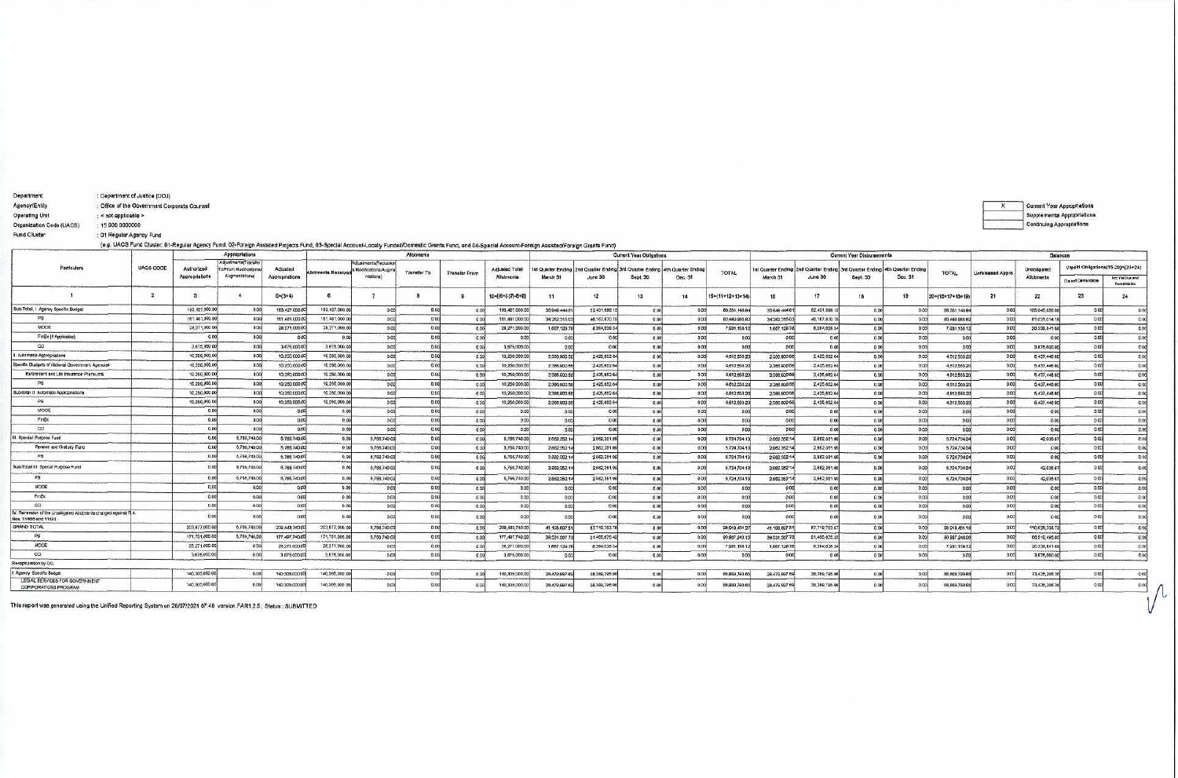| Operating Unit                                                                      | < not applicable >                                                                                                                                                                                       |                              |                                                                       |                            |                           |                                                              |                    |                      |                              |                 |                |                                                                                         |             |                 |                                |                               |                                |                               |                  |                         |                                  | Supplemental Appropriations |                                       |
|-------------------------------------------------------------------------------------|----------------------------------------------------------------------------------------------------------------------------------------------------------------------------------------------------------|------------------------------|-----------------------------------------------------------------------|----------------------------|---------------------------|--------------------------------------------------------------|--------------------|----------------------|------------------------------|-----------------|----------------|-----------------------------------------------------------------------------------------|-------------|-----------------|--------------------------------|-------------------------------|--------------------------------|-------------------------------|------------------|-------------------------|----------------------------------|-----------------------------|---------------------------------------|
| Organization Code (UACS)                                                            | 15 006 0000000                                                                                                                                                                                           |                              |                                                                       |                            |                           |                                                              |                    |                      |                              |                 |                |                                                                                         |             |                 |                                |                               |                                |                               |                  |                         | Continuing Appropriations        |                             |                                       |
| Fund Cluster                                                                        | : 01 Regular Agency Fund                                                                                                                                                                                 |                              |                                                                       |                            |                           |                                                              |                    |                      |                              |                 |                |                                                                                         |             |                 |                                |                               |                                |                               |                  |                         |                                  |                             |                                       |
|                                                                                     | (e.g. UACS Fund Cluster: 01-Regular Agency Fund, 02-Foreign Assisted Projects Fund, 03-Special Account-Locally Funded/Domestic Grants Fund, and 04-Special Account-Foreign Assisted/Foreign Grants Fund) |                              |                                                                       |                            |                           |                                                              |                    |                      |                              |                 |                |                                                                                         |             |                 |                                |                               |                                |                               |                  |                         |                                  |                             |                                       |
|                                                                                     |                                                                                                                                                                                                          |                              | Appropriations                                                        |                            |                           |                                                              | alnambollA         |                      |                              |                 |                | Current Year Obligations                                                                |             |                 |                                |                               | Current Year Clebursements     |                               |                  |                         |                                  | <b>Balances</b>             |                                       |
| Particulara                                                                         | UACS CODE                                                                                                                                                                                                | Authorized<br>Appropriations | Adustments(Transfer<br><b>Fa/From Modifications</b><br>Augmentationa) | Adjusted<br>Appropriations | <b>Jiotments Received</b> | idjustmants(Reduction<br>J.Modifications/Augme<br>ritations) | <b>Transfer To</b> | <b>Transfer From</b> | Adjusted Total<br>Allotments | March 31        | June 30        | 1st Quarter Ending 2nd Quarter Ending 3rd Quarter Ending 4th Quarter Ending<br>Sept. 30 | Dec. 31     | <b>TOTAL</b>    | 1st Quarter Ending<br>March 31 | 2nd Quarter Ending<br>June 30 | 3rd Quarter Ending<br>Sept. 30 | Ith Quarter Ending<br>Dec. 31 | TOTAL            | <b>Unreleased Appro</b> | Unobligate:<br><b>Allotments</b> |                             | Unpaid Obligations (15-20)=(23+24)    |
|                                                                                     |                                                                                                                                                                                                          |                              |                                                                       |                            |                           |                                                              |                    |                      |                              |                 |                |                                                                                         |             |                 |                                |                               |                                |                               |                  |                         |                                  | <b>Custod Demandable</b>    | <b>Not Yell Due and</b><br>Demandable |
|                                                                                     | $\overline{2}$                                                                                                                                                                                           | 32                           |                                                                       | $54(3+4)$                  | ß.                        |                                                              | 8                  | - 59                 | 10=[{8+(-)7}-8+9]            | 11              | 12             | 13                                                                                      | 14          | 15=(11+12+13+14 | 18                             | 17                            | 18                             | 19                            | 20=(16+17+18+19) | 21                      | 22                               | 23                          | 24                                    |
| Sub-Total, I. Agency Specific Budget                                                |                                                                                                                                                                                                          | 193,427,000.00               | 0.00                                                                  | 193.427,000.0              | 193.427.000.00            | 000                                                          | 0.00               | 0.00                 | 193,427,000.0                | 35,949,444.8    | 52.431,699.1   | 0.00                                                                                    | 0.00        | 88, 361, 143. 9 | 35.949.444.61                  | 62,431,699.13                 | 0.00                           | 00                            | 88.381.143.9     | 0.00                    | 105,045,856.0                    | 0.00                        | 0.00                                  |
| PS                                                                                  |                                                                                                                                                                                                          | 161.481,000.00               | 0.00                                                                  | 181.481.000.0              | 161,481,000.00            | ocol                                                         | 0.00               | 000                  | 101,481,000.00               | 34.282.315.03   | 46.167,670.7   | 0.00                                                                                    | <b>DOO!</b> | 80,449,985.8    | 34 282, 315 03                 | 46,167,870.79                 | 0.00                           | 9.00                          | 80.449,985.82    | 0.00                    | 81,031,014.1                     | 0.00                        | 0.00                                  |
| MODE                                                                                |                                                                                                                                                                                                          | 28,271,000.00                | 0.00                                                                  | 28,271,000.0               | 28,271,000.00             | 0 <sub>CO</sub>                                              | 0.00               | 000                  | 28,271,000.0                 | 1,667,129.7     | 6,264,026.34   | 0.00                                                                                    | 0.00        | 7,931,158.      | 1,667,129.76                   | 6,264,028.34                  | 0.00                           | 0.00                          | 7.931,158.13     | 0.00                    | 20,339,841.8                     | 0.00                        | 0.00                                  |
| FinEx (if Applicable)                                                               |                                                                                                                                                                                                          | 0.00                         | 0.00                                                                  | 00                         | 0.00                      | 0 <sup>0</sup>                                               | 0.00               | 000                  | 0.00                         | 0.00            | 0.00           | 0.00                                                                                    | 0.001       | 0.00            | 0.00                           | 000                           | 0.00                           | 0.00                          | 0.00             | 0.00                    | 0.00                             | 0.00                        | 0.00                                  |
| CO.                                                                                 |                                                                                                                                                                                                          | 3,675,000.00                 | 0.001                                                                 | 3,675,000.0                | 3,675,000.00              | ocol                                                         | 0.00               | 0.00                 | 3,675,000.00                 | 0.00            | 0.00           | 0.00                                                                                    | 0.001       | 0.00            | 0.00                           | 0.00                          | 0.00                           | 0.00                          | 0.00             | o.col                   | 3.875,000.0                      | 0.00                        | 0.00                                  |
| Automatic Appropriation                                                             |                                                                                                                                                                                                          | 10.260,000.0                 | nool                                                                  | 10.250,000.0               | 10,250,000.00             | 0 <sub>CD</sub>                                              | 0.00               | 000                  | 10,250,000.0                 | 2 3 8 6 6 6 7 5 | 2425,552.64    | 0.001                                                                                   | 0.001       | 4812,553.2      | 2386,900.06                    | 2.425,652.64                  | 0.00                           | 0.00                          | 4,812,553.20     | 0.00                    | 5,437,446.6                      | 0.00                        | 000                                   |
| peotic Budgets of National Government Agencies                                      |                                                                                                                                                                                                          | 10,250,000.00                | 000                                                                   | 10.250,000.0               | 10:250.000.00             | 000                                                          | 0.00               | 0.00                 | 10,250,000.0                 | 2 386,900.66    | 2425,652.64    | 0.00                                                                                    | 0.00        | 4812,5532       | 2366,900.66                    | 2.425,652.64                  | 0.00                           | 0.00                          | 4,812,553.20     | 0.00                    | 5.437.446.8                      | 0.00                        | -0.00                                 |
| Retirement and Life Insurance Premiums                                              |                                                                                                                                                                                                          | 10.250,000.00                | 0.000                                                                 | 10,250,000.0               | 10.250.000.00             | 000                                                          | 0.00               | 000                  | 10,250,000.0                 | 2,386,600.5     | 2.425,652.64   | 0.00                                                                                    | 0.00        | 4,812,553.2     | 2386,900.66                    | 2,425,652.64                  | 0.001                          | 0.00                          | 4,612,553,20     | 0.00                    | 5,437,446.80                     | 0.00                        | 0.00                                  |
| PS                                                                                  |                                                                                                                                                                                                          | 10.250,000.00                | 0.00                                                                  | 10:250.000 0               | 10.250.000.00             | 0.00                                                         | <b>D.DC</b>        | 0.00                 | 10,250,000.0                 | 2,386,600.5     | 2425,852.64    | 0.00                                                                                    | 0.001       | 4812,553.2      | 2,386,900.66                   | 2,425.652.64                  | 0.00                           | 0.00                          | 4.912,553.20     | 0.00                    | 5,437,445.80                     | 0.00                        | 0.00                                  |
| Sub-total II. Automatic Appropriations                                              |                                                                                                                                                                                                          | 10.250,000.00                | 0.001                                                                 | 10.250.000.0               | 10,250,000.00             | 0.00                                                         | 0,00               | 0.00                 | 10,250,000.0                 | 2,356,500.5     | 2,425,652.6    | 0.00                                                                                    | 0.001       | 4812,553.2      | 2,386,900.66                   | 2.425.652.6                   | 0.00                           | 0 <sup>o</sup>                | 4,812,553.20     | 0.00                    | 5,437,446.60                     | 0.00                        | 0.00                                  |
| PS                                                                                  |                                                                                                                                                                                                          | 10,250,000.0                 | 0.001                                                                 | 10.250.000.00              | 10.260,000.00             | 0.00                                                         | 0.00               | 000                  | 10,250,000.0                 | 2.356,600.58    | 2,425,652.64   | 0.00                                                                                    | 0.001       | 4812,553.20     | 2,386,900.56                   | 2,425,652.64                  | 0.00                           | 0.00                          | 4.812,653.20     | 0.00                    | 5.437,445.60                     | 0.00                        | 0.00                                  |
| MOOE                                                                                |                                                                                                                                                                                                          | 0.0                          | 0.00                                                                  |                            | 0.00                      | 0.00                                                         | 0.00               | 0.00                 | 0.00                         | 0.0             | 0.00           | 0.00                                                                                    | 0.001       | 0.0             | 0.00                           | 0.00                          | 0.00                           | 000                           | 0.00             | 0.00                    | 0.00                             | 0.00                        | $-0.00$                               |
| Fingx                                                                               |                                                                                                                                                                                                          | 0.00                         | 0.00                                                                  | 0.00                       | 0.00                      | 000                                                          | 0.00               | 0.00                 | 0.00                         | 0.00            | 0.00           | 0.00                                                                                    | 0.00        | 0.00            | 0.00                           | 0.00                          | 0.00                           | 0.00                          | 0.00             | opo                     | 0.00                             | 0.00                        | 000                                   |
| co                                                                                  |                                                                                                                                                                                                          | 0.00                         | 0.00                                                                  | g co                       | 0.00                      | 0.00                                                         | 0.00               | 000                  | 0.00                         | 0.00            | 0.00           | 0.00                                                                                    | 0.001       | 0.00            | 0.00                           | 0 <sup>o</sup>                | 0.00                           | 0.00                          | 0.00             | 0.00                    | 0.00                             | 0.00                        | 0.00                                  |
| <b>BI.</b> Special Purpose Fund                                                     |                                                                                                                                                                                                          | 0.00                         | 5.766,740.00                                                          | 5.766,740.00               | 0.00                      | 8,766,740.00                                                 | 0.00               | 0.00                 | 5,765,740.0                  | 2,862,352.14    | 2,862,351.99   | 0.00                                                                                    | 0.00        | 8,724,704.1     | 2 862, 352.14                  | 2,862,351.00                  | 0.00                           | 0.00                          | 5.724.704.0-     | 0.00                    | 42,036.87                        | 0.00                        | 0.09                                  |
| Pension and Gratuey Fund                                                            |                                                                                                                                                                                                          |                              | 8,766,740.00                                                          | 5.766,740.00               | 0.00                      | 5,766,740.00                                                 | 0.00               | $-0.00$              | 5,765,740.00                 | 2,662,352.1     | 2862,351.99    | 0.00                                                                                    | 0.00        | 5,724,704.1     | 2862,352.14                    | 2,802,351.90                  | 000                            | 0.00                          | 5,724,704.04     | 0.00 <sub>0</sub>       | 0.00                             | 0.00                        | 0.09                                  |
| PS                                                                                  |                                                                                                                                                                                                          |                              | 8,706,740.00                                                          | 5,786,740.00               | 0.00                      | 8,766,740.0                                                  | 0.00               | 00                   | 5,765,740.00                 | 2,862,362.1     | 2,862,351.96   | 0.00                                                                                    | 0.00        | 5,724,704       | 2 882,352.1                    | 2,552,351 %                   | 0.00                           | 00                            | 5,724,704.0      | 0.00                    | 0.00                             | 0.00                        | 0.09                                  |
| Sub-Total III. Special Purpose Fund                                                 |                                                                                                                                                                                                          |                              | 5,766,740.00                                                          | 6,768,740.00               |                           | 5,766,740.0                                                  | 0.00               | 00                   | 5,766,740.0                  | 2862.352.14     | 2,882,351.9    | 0.00                                                                                    | 000         | 5,724,704.      | 2862.352.1                     | 2,882,351.90                  | D.DD                           |                               | 5,724,704.0      | 000                     | 42,035.87                        | 0.00                        | 0.09                                  |
| PS.                                                                                 |                                                                                                                                                                                                          | 0.00                         | 6,766,740.00                                                          | 5,756,740.00               | 0.00                      | 5,766,740.0                                                  | 0.00               | 000                  | 5,785,740.00                 | 2,862,352.14    | 2,882,351.99   | 0.00                                                                                    | 0.00        | 6,724,7041      | 2,662,352.14                   | 2,882,351.90                  | 0.00                           | 0.00                          | 5.724,704.04     | 000                     | 42,035.81                        | 0.00                        | 0.09                                  |
| MODE                                                                                |                                                                                                                                                                                                          | $-0.00$                      | 0.00                                                                  | OO                         | 0.00                      |                                                              | 0.00               | 000                  | 0.00                         | 0.00            | 0.00           | 0.00                                                                                    | 0.001       | 0.00            | 0.00                           | 0.00                          | 0.00                           | 0.00                          | 0.00             | 0.00                    | 0.00                             | 0.00                        | 0.00                                  |
| Firex                                                                               |                                                                                                                                                                                                          | 0.00                         | opd                                                                   | 0.09                       | 0.00                      | 0.01                                                         | 0.00               | 0.00                 | 0.00                         | 0.00            | 0.00           | 0.00                                                                                    | 0.006       | 0.00            | 0.00                           | 0.00                          | <b>DO</b>                      | 0.00                          | 0.00             | 000                     | 0.00                             | 0.00                        | 000                                   |
| CO:                                                                                 |                                                                                                                                                                                                          | 0.00                         | 0.00                                                                  | 0.00                       | 0:00                      | 0.01                                                         | 0.00               | 000                  | 0.00                         | 0.00            | 0.00           | 0.00                                                                                    | 0.006       | 0.00            | 0.OC                           | 0.00                          | 0.00                           | 0.00                          | 0.00             | ocol                    | 0.00                             | 0.00                        | 0.00                                  |
| Reversion of the Unobligated Atlatments charged against R /<br>Nos. 11465 and 11494 |                                                                                                                                                                                                          |                              | OB.                                                                   |                            |                           |                                                              | 0.00               | $\alpha$             | 0.0                          | 0.00            | 0 <sup>o</sup> | 0.00                                                                                    | 0.00        | 65              | 0.00                           | 000                           | 000                            |                               |                  | 000                     |                                  | 0.00                        | 0.00                                  |
| GRAND TOTAL                                                                         |                                                                                                                                                                                                          | 203,677,000.0                | 6,766,740.00                                                          | 209.443.740.00             | 203,677,000.0             | 5,766,740.0                                                  | 0.00               | 0.00                 | 209,443,740.0                | 41,198,697.5    | 57,719,703.7   | 0.00                                                                                    | 0.008       | 98,918,401.     | 41,196,897.01                  | 67,719,703.67                 | 0.00                           |                               | 98.918.401.1     | 0.00                    | 110, 525, 336.                   | 0.00                        | 0.09                                  |
| PS                                                                                  |                                                                                                                                                                                                          | 171,731,000.00               | 0.768,740,00                                                          | 177,497,740.00             | 171,731,000.00            | 5,768,740.00                                                 | 0.00               | 000                  | 177,497,740.0                | 39,531.567.73   | 51,455,675.42  | 0.00                                                                                    | 0.00        | 90.987.243.1    | 39,531,567.73                  | 81,455,675.33                 | 0.00                           |                               | 90,967,243.0     | 000                     | 66,510,496.8                     | 0.00                        | 0.09                                  |
| MOOR:                                                                               |                                                                                                                                                                                                          | 28.271,000 00                | 0.00                                                                  | 28.271.000.0               | 26,271,000.00             | 0.00                                                         | 0.00               | 0.00                 | 28,271,000.0                 | 1,667,129.78    | 6.264,028.34   | 0.00                                                                                    | 0.000       | 7,931,158.1     | 1,667,129.78                   | 8,264,028.34                  | 000                            | 000                           | 7,931,156.12     | 000                     | 20,339,841.8                     | 0.00                        | 0.00                                  |
| $\infty$                                                                            |                                                                                                                                                                                                          | 3,675,000.00                 | 000                                                                   | 3,875,000.00               | 3,675,000.00              | 0.00                                                         | 0.00               | 0.00                 | 3.675.000.0                  | 0.00            | 0.00           | 0.00                                                                                    | 0.00        | 0.03            | 0.00                           | 0.00                          | 0.00                           | 0.00                          | 0.00             | 0.00                    | 3,675,000.00                     | 0.00                        | 0.00                                  |
| Recaptulation by CO.                                                                |                                                                                                                                                                                                          |                              |                                                                       |                            |                           |                                                              |                    |                      |                              |                 |                |                                                                                         |             |                 |                                |                               |                                |                               |                  |                         |                                  |                             |                                       |
| Agency Specific Budge                                                               |                                                                                                                                                                                                          | 140,305,000.00               | 0.00                                                                  | 140,305,000.00             | 140,305,000.00            | 0.00                                                         | 0.00               | 000                  | 140,305,000.00               | 28,470,997.69   | 36,389,795.9   | 0.00                                                                                    | 0.008       | 66,689,793.6    | 28,479,997 6                   | 38,389,795.96                 | 0.00                           | 0.00                          | 86.869,793.65    | 000                     | 73,435,208.3                     | <b>D.00</b>                 | 000                                   |
| LEGAL SERVICES FOR GOVERNMENT<br>CORPORATIONS PROGRAM                               |                                                                                                                                                                                                          | 140.305.000.00               | 0.00                                                                  | 140,305,000,00             | 140,305,000.00            |                                                              |                    | 0 <sup>o</sup>       | 140,305,000.00               | 28,479,997.69   | 35,389,795.9   | 0.00                                                                                    | 0.006       | 56,889,793.6    | 28.479.997                     | 38,389,795.96                 | D <sub>DC</sub>                |                               | 06.569.793.65    |                         | 73,435,205.7                     |                             | 0.00                                  |

This report was generated using the Unified Reporting System on 28/07/2021 07:48 version.FAR1.2.5; Status : SUBMITTED

Department

Agency/Entity

: Department of Justice (DOJ)

: Office of the Government Corporate Counsel

X<br>Current Year Appropriations

 $\Lambda$ 

V